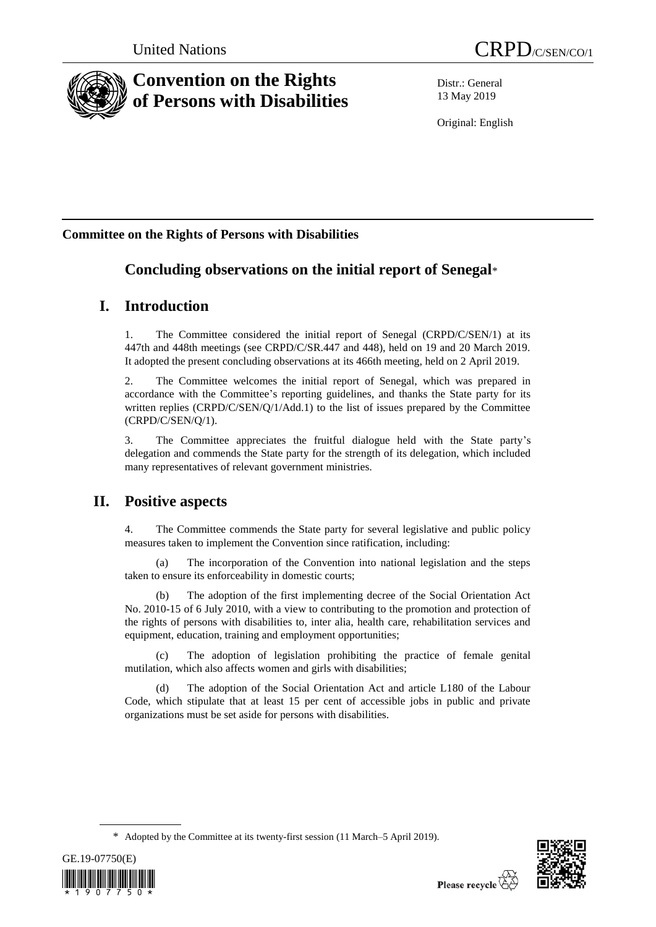

# **Convention on the Rights of Persons with Disabilities**

Distr.: General 13 May 2019

Original: English

## **Committee on the Rights of Persons with Disabilities**

# **Concluding observations on the initial report of Senegal**\*

## **I. Introduction**

1. The Committee considered the initial report of Senegal (CRPD/C/SEN/1) at its 447th and 448th meetings (see CRPD/C/SR.447 and 448), held on 19 and 20 March 2019. It adopted the present concluding observations at its 466th meeting, held on 2 April 2019.

2. The Committee welcomes the initial report of Senegal, which was prepared in accordance with the Committee's reporting guidelines, and thanks the State party for its written replies (CRPD/C/SEN/Q/1/Add.1) to the list of issues prepared by the Committee (CRPD/C/SEN/Q/1).

3. The Committee appreciates the fruitful dialogue held with the State party's delegation and commends the State party for the strength of its delegation, which included many representatives of relevant government ministries.

# **II. Positive aspects**

4. The Committee commends the State party for several legislative and public policy measures taken to implement the Convention since ratification, including:

(a) The incorporation of the Convention into national legislation and the steps taken to ensure its enforceability in domestic courts;

(b) The adoption of the first implementing decree of the Social Orientation Act No. 2010-15 of 6 July 2010, with a view to contributing to the promotion and protection of the rights of persons with disabilities to, inter alia, health care, rehabilitation services and equipment, education, training and employment opportunities;

(c) The adoption of legislation prohibiting the practice of female genital mutilation, which also affects women and girls with disabilities;

(d) The adoption of the Social Orientation Act and article L180 of the Labour Code, which stipulate that at least 15 per cent of accessible jobs in public and private organizations must be set aside for persons with disabilities.

<sup>\*</sup> Adopted by the Committee at its twenty-first session (11 March–5 April 2019).



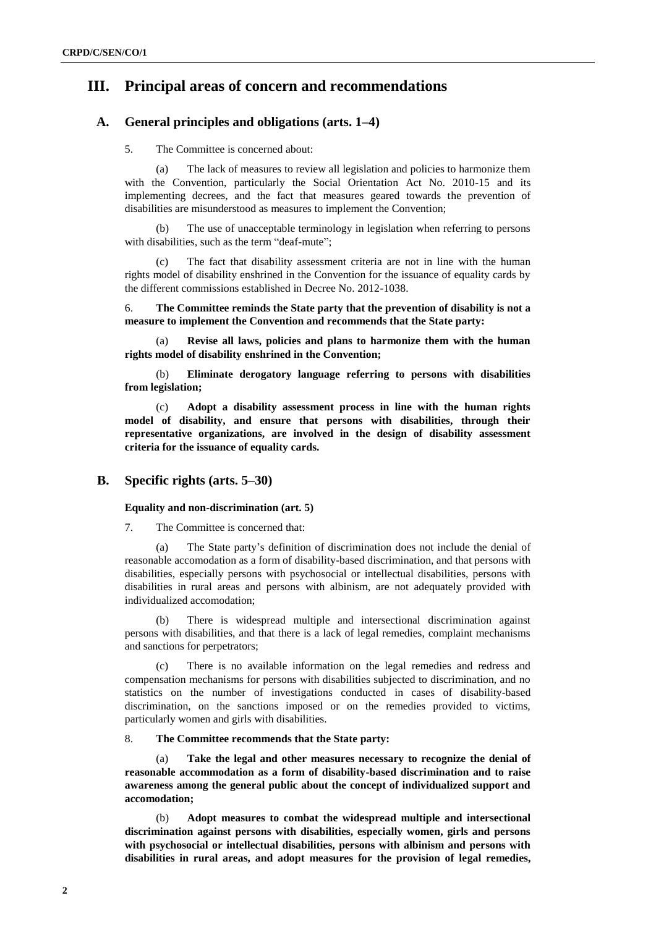## **III. Principal areas of concern and recommendations**

## **A. General principles and obligations (arts. 1–4)**

## 5. The Committee is concerned about:

(a) The lack of measures to review all legislation and policies to harmonize them with the Convention, particularly the Social Orientation Act No. 2010-15 and its implementing decrees, and the fact that measures geared towards the prevention of disabilities are misunderstood as measures to implement the Convention;

(b) The use of unacceptable terminology in legislation when referring to persons with disabilities, such as the term "deaf-mute":

(c) The fact that disability assessment criteria are not in line with the human rights model of disability enshrined in the Convention for the issuance of equality cards by the different commissions established in Decree No. 2012-1038.

6. **The Committee reminds the State party that the prevention of disability is not a measure to implement the Convention and recommends that the State party:**

Revise all laws, policies and plans to harmonize them with the human **rights model of disability enshrined in the Convention;** 

(b) **Eliminate derogatory language referring to persons with disabilities from legislation;**

(c) **Adopt a disability assessment process in line with the human rights model of disability, and ensure that persons with disabilities, through their representative organizations, are involved in the design of disability assessment criteria for the issuance of equality cards.**

## **B. Specific rights (arts. 5–30)**

## **Equality and non-discrimination (art. 5)**

7. The Committee is concerned that:

(a) The State party's definition of discrimination does not include the denial of reasonable accomodation as a form of disability-based discrimination, and that persons with disabilities, especially persons with psychosocial or intellectual disabilities, persons with disabilities in rural areas and persons with albinism, are not adequately provided with individualized accomodation;

(b) There is widespread multiple and intersectional discrimination against persons with disabilities, and that there is a lack of legal remedies, complaint mechanisms and sanctions for perpetrators;

There is no available information on the legal remedies and redress and compensation mechanisms for persons with disabilities subjected to discrimination, and no statistics on the number of investigations conducted in cases of disability-based discrimination, on the sanctions imposed or on the remedies provided to victims, particularly women and girls with disabilities.

## 8. **The Committee recommends that the State party:**

Take the legal and other measures necessary to recognize the denial of **reasonable accommodation as a form of disability-based discrimination and to raise awareness among the general public about the concept of individualized support and accomodation;**

(b) **Adopt measures to combat the widespread multiple and intersectional discrimination against persons with disabilities, especially women, girls and persons with psychosocial or intellectual disabilities, persons with albinism and persons with disabilities in rural areas, and adopt measures for the provision of legal remedies,**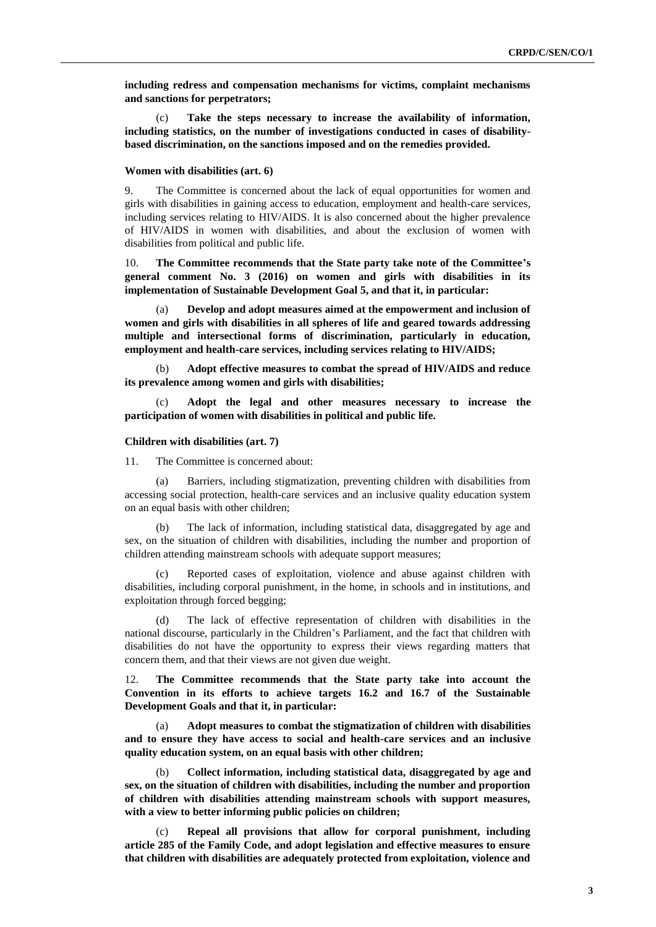**including redress and compensation mechanisms for victims, complaint mechanisms and sanctions for perpetrators;**

(c) **Take the steps necessary to increase the availability of information, including statistics, on the number of investigations conducted in cases of disabilitybased discrimination, on the sanctions imposed and on the remedies provided.**

## **Women with disabilities (art. 6)**

9. The Committee is concerned about the lack of equal opportunities for women and girls with disabilities in gaining access to education, employment and health-care services, including services relating to HIV/AIDS. It is also concerned about the higher prevalence of HIV/AIDS in women with disabilities, and about the exclusion of women with disabilities from political and public life.

10. **The Committee recommends that the State party take note of the Committee's general comment No. 3 (2016) on women and girls with disabilities in its implementation of Sustainable Development Goal 5, and that it, in particular:** 

(a) **Develop and adopt measures aimed at the empowerment and inclusion of women and girls with disabilities in all spheres of life and geared towards addressing multiple and intersectional forms of discrimination, particularly in education, employment and health-care services, including services relating to HIV/AIDS;** 

(b) **Adopt effective measures to combat the spread of HIV/AIDS and reduce its prevalence among women and girls with disabilities;** 

(c) **Adopt the legal and other measures necessary to increase the participation of women with disabilities in political and public life.**

#### **Children with disabilities (art. 7)**

11. The Committee is concerned about:

(a) Barriers, including stigmatization, preventing children with disabilities from accessing social protection, health-care services and an inclusive quality education system on an equal basis with other children;

(b) The lack of information, including statistical data, disaggregated by age and sex, on the situation of children with disabilities, including the number and proportion of children attending mainstream schools with adequate support measures;

(c) Reported cases of exploitation, violence and abuse against children with disabilities, including corporal punishment, in the home, in schools and in institutions, and exploitation through forced begging;

(d) The lack of effective representation of children with disabilities in the national discourse, particularly in the Children's Parliament, and the fact that children with disabilities do not have the opportunity to express their views regarding matters that concern them, and that their views are not given due weight.

12. **The Committee recommends that the State party take into account the Convention in its efforts to achieve targets 16.2 and 16.7 of the Sustainable Development Goals and that it, in particular:** 

(a) **Adopt measures to combat the stigmatization of children with disabilities and to ensure they have access to social and health-care services and an inclusive quality education system, on an equal basis with other children;**

(b) **Collect information, including statistical data, disaggregated by age and sex, on the situation of children with disabilities, including the number and proportion of children with disabilities attending mainstream schools with support measures, with a view to better informing public policies on children;** 

(c) **Repeal all provisions that allow for corporal punishment, including article 285 of the Family Code, and adopt legislation and effective measures to ensure that children with disabilities are adequately protected from exploitation, violence and**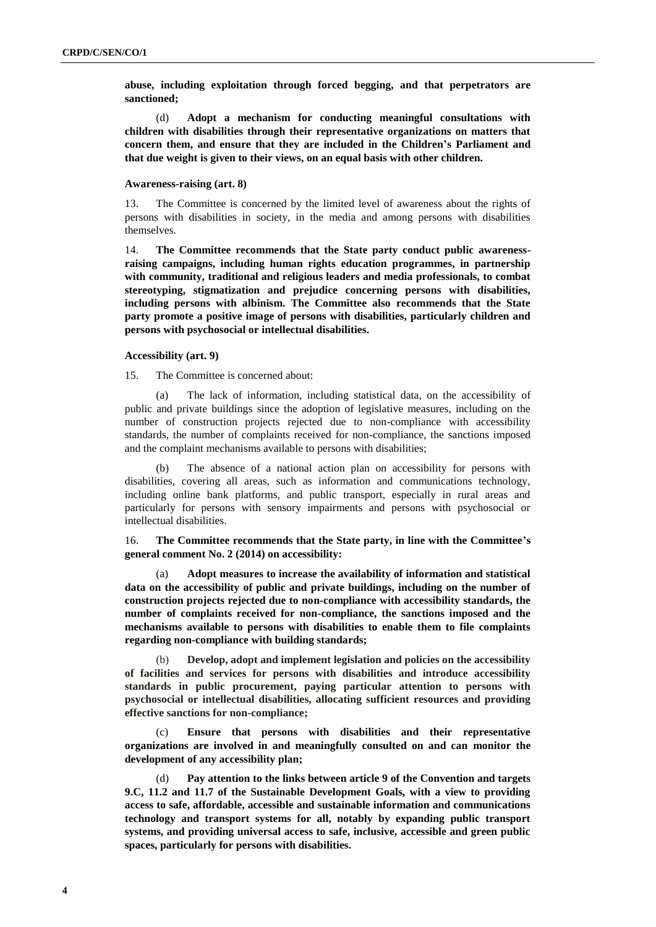**abuse, including exploitation through forced begging, and that perpetrators are sanctioned;** 

(d) **Adopt a mechanism for conducting meaningful consultations with children with disabilities through their representative organizations on matters that concern them, and ensure that they are included in the Children's Parliament and that due weight is given to their views, on an equal basis with other children.**

#### **Awareness-raising (art. 8)**

13. The Committee is concerned by the limited level of awareness about the rights of persons with disabilities in society, in the media and among persons with disabilities themselves.

14. **The Committee recommends that the State party conduct public awarenessraising campaigns, including human rights education programmes, in partnership with community, traditional and religious leaders and media professionals, to combat stereotyping, stigmatization and prejudice concerning persons with disabilities, including persons with albinism. The Committee also recommends that the State party promote a positive image of persons with disabilities, particularly children and persons with psychosocial or intellectual disabilities.**

## **Accessibility (art. 9)**

15. The Committee is concerned about:

(a) The lack of information, including statistical data, on the accessibility of public and private buildings since the adoption of legislative measures, including on the number of construction projects rejected due to non-compliance with accessibility standards, the number of complaints received for non-compliance, the sanctions imposed and the complaint mechanisms available to persons with disabilities;

(b) The absence of a national action plan on accessibility for persons with disabilities, covering all areas, such as information and communications technology, including online bank platforms, and public transport, especially in rural areas and particularly for persons with sensory impairments and persons with psychosocial or intellectual disabilities.

16. **The Committee recommends that the State party, in line with the Committee's general comment No. 2 (2014) on accessibility:**

(a) **Adopt measures to increase the availability of information and statistical data on the accessibility of public and private buildings, including on the number of construction projects rejected due to non-compliance with accessibility standards, the number of complaints received for non-compliance, the sanctions imposed and the mechanisms available to persons with disabilities to enable them to file complaints regarding non-compliance with building standards;**

(b) **Develop, adopt and implement legislation and policies on the accessibility of facilities and services for persons with disabilities and introduce accessibility standards in public procurement, paying particular attention to persons with psychosocial or intellectual disabilities, allocating sufficient resources and providing effective sanctions for non-compliance;**

(c) **Ensure that persons with disabilities and their representative organizations are involved in and meaningfully consulted on and can monitor the development of any accessibility plan;**

(d) **Pay attention to the links between article 9 of the Convention and targets 9.C, 11.2 and 11.7 of the Sustainable Development Goals, with a view to providing access to safe, affordable, accessible and sustainable information and communications technology and transport systems for all, notably by expanding public transport systems, and providing universal access to safe, inclusive, accessible and green public spaces, particularly for persons with disabilities.**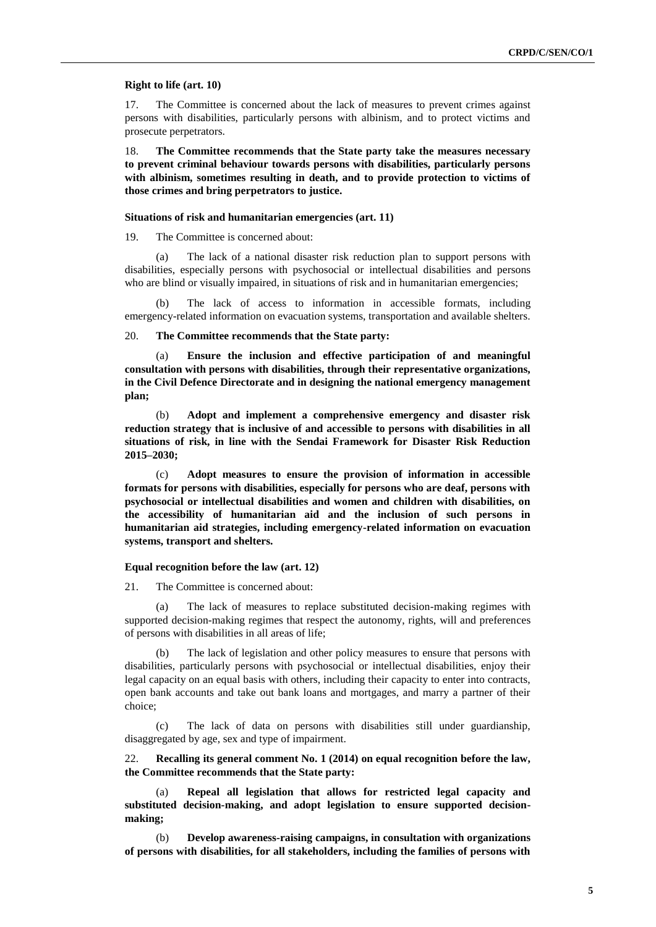#### **Right to life (art. 10)**

17. The Committee is concerned about the lack of measures to prevent crimes against persons with disabilities, particularly persons with albinism, and to protect victims and prosecute perpetrators.

18. **The Committee recommends that the State party take the measures necessary to prevent criminal behaviour towards persons with disabilities, particularly persons with albinism, sometimes resulting in death, and to provide protection to victims of those crimes and bring perpetrators to justice.**

## **Situations of risk and humanitarian emergencies (art. 11)**

19. The Committee is concerned about:

(a) The lack of a national disaster risk reduction plan to support persons with disabilities, especially persons with psychosocial or intellectual disabilities and persons who are blind or visually impaired, in situations of risk and in humanitarian emergencies;

(b) The lack of access to information in accessible formats, including emergency-related information on evacuation systems, transportation and available shelters.

#### 20. **The Committee recommends that the State party:**

(a) **Ensure the inclusion and effective participation of and meaningful consultation with persons with disabilities, through their representative organizations, in the Civil Defence Directorate and in designing the national emergency management plan;** 

(b) **Adopt and implement a comprehensive emergency and disaster risk reduction strategy that is inclusive of and accessible to persons with disabilities in all situations of risk, in line with the Sendai Framework for Disaster Risk Reduction 2015–2030;**

(c) **Adopt measures to ensure the provision of information in accessible formats for persons with disabilities, especially for persons who are deaf, persons with psychosocial or intellectual disabilities and women and children with disabilities, on the accessibility of humanitarian aid and the inclusion of such persons in humanitarian aid strategies, including emergency-related information on evacuation systems, transport and shelters.**

## **Equal recognition before the law (art. 12)**

21. The Committee is concerned about:

(a) The lack of measures to replace substituted decision-making regimes with supported decision-making regimes that respect the autonomy, rights, will and preferences of persons with disabilities in all areas of life;

(b) The lack of legislation and other policy measures to ensure that persons with disabilities, particularly persons with psychosocial or intellectual disabilities, enjoy their legal capacity on an equal basis with others, including their capacity to enter into contracts, open bank accounts and take out bank loans and mortgages, and marry a partner of their choice;

(c) The lack of data on persons with disabilities still under guardianship, disaggregated by age, sex and type of impairment.

22. **Recalling its general comment No. 1 (2014) on equal recognition before the law, the Committee recommends that the State party:**

(a) **Repeal all legislation that allows for restricted legal capacity and substituted decision-making, and adopt legislation to ensure supported decisionmaking;**

(b) **Develop awareness-raising campaigns, in consultation with organizations of persons with disabilities, for all stakeholders, including the families of persons with**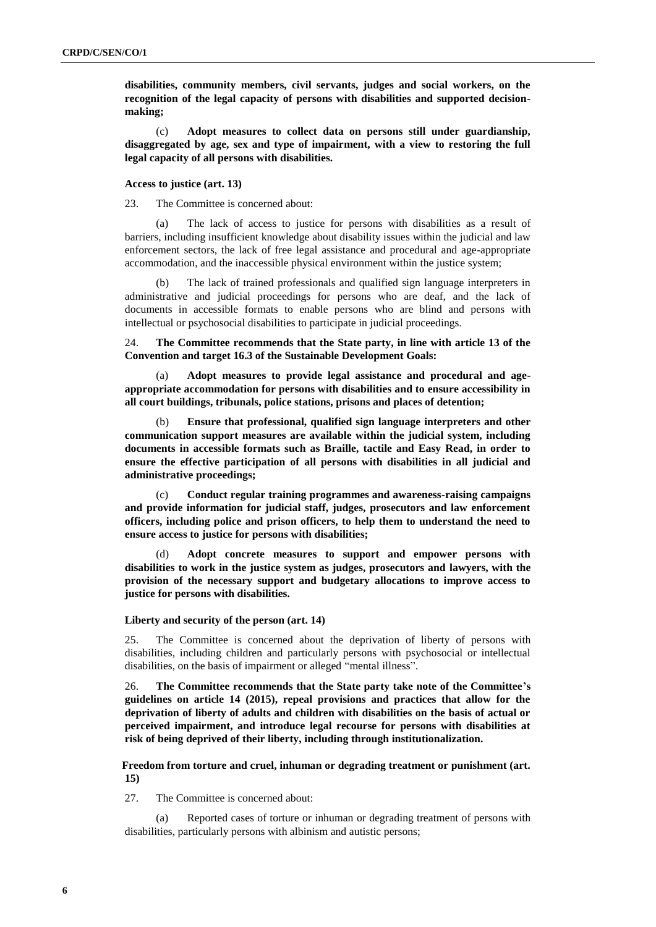**disabilities, community members, civil servants, judges and social workers, on the recognition of the legal capacity of persons with disabilities and supported decisionmaking;**

(c) **Adopt measures to collect data on persons still under guardianship, disaggregated by age, sex and type of impairment, with a view to restoring the full legal capacity of all persons with disabilities.**

#### **Access to justice (art. 13)**

23. The Committee is concerned about:

(a) The lack of access to justice for persons with disabilities as a result of barriers, including insufficient knowledge about disability issues within the judicial and law enforcement sectors, the lack of free legal assistance and procedural and age-appropriate accommodation, and the inaccessible physical environment within the justice system;

(b) The lack of trained professionals and qualified sign language interpreters in administrative and judicial proceedings for persons who are deaf, and the lack of documents in accessible formats to enable persons who are blind and persons with intellectual or psychosocial disabilities to participate in judicial proceedings.

24. **The Committee recommends that the State party, in line with article 13 of the Convention and target 16.3 of the Sustainable Development Goals:**

(a) **Adopt measures to provide legal assistance and procedural and ageappropriate accommodation for persons with disabilities and to ensure accessibility in all court buildings, tribunals, police stations, prisons and places of detention;**

(b) **Ensure that professional, qualified sign language interpreters and other communication support measures are available within the judicial system, including documents in accessible formats such as Braille, tactile and Easy Read, in order to ensure the effective participation of all persons with disabilities in all judicial and administrative proceedings;**

(c) **Conduct regular training programmes and awareness-raising campaigns and provide information for judicial staff, judges, prosecutors and law enforcement officers, including police and prison officers, to help them to understand the need to ensure access to justice for persons with disabilities;**

(d) **Adopt concrete measures to support and empower persons with disabilities to work in the justice system as judges, prosecutors and lawyers, with the provision of the necessary support and budgetary allocations to improve access to justice for persons with disabilities.**

#### **Liberty and security of the person (art. 14)**

25. The Committee is concerned about the deprivation of liberty of persons with disabilities, including children and particularly persons with psychosocial or intellectual disabilities, on the basis of impairment or alleged "mental illness".

26. **The Committee recommends that the State party take note of the Committee's guidelines on article 14 (2015), repeal provisions and practices that allow for the deprivation of liberty of adults and children with disabilities on the basis of actual or perceived impairment, and introduce legal recourse for persons with disabilities at risk of being deprived of their liberty, including through institutionalization.** 

**Freedom from torture and cruel, inhuman or degrading treatment or punishment (art. 15)**

27. The Committee is concerned about:

(a) Reported cases of torture or inhuman or degrading treatment of persons with disabilities, particularly persons with albinism and autistic persons;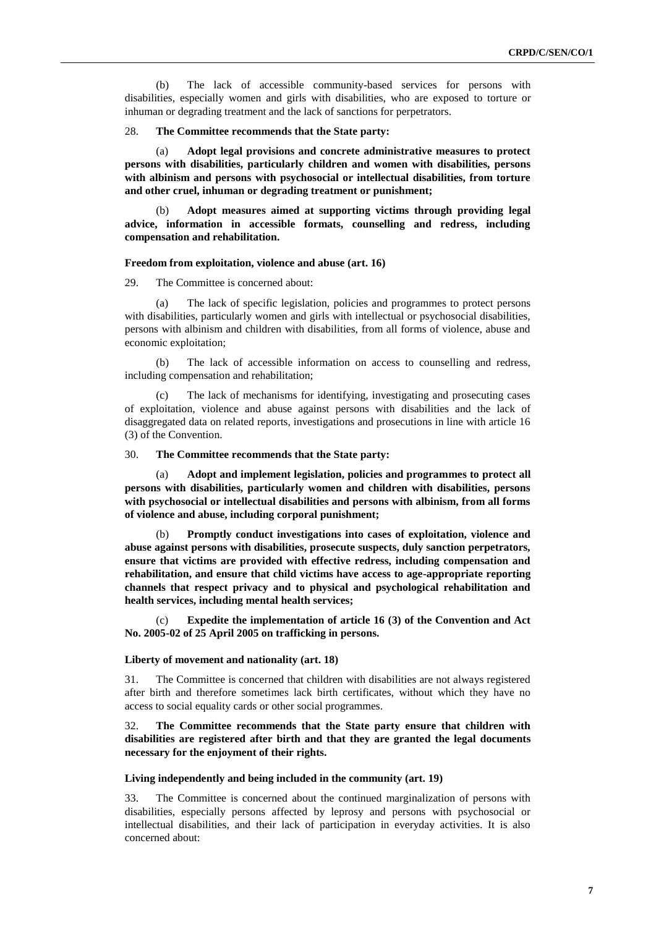(b) The lack of accessible community-based services for persons with disabilities, especially women and girls with disabilities, who are exposed to torture or inhuman or degrading treatment and the lack of sanctions for perpetrators.

28. **The Committee recommends that the State party:**

(a) **Adopt legal provisions and concrete administrative measures to protect persons with disabilities, particularly children and women with disabilities, persons with albinism and persons with psychosocial or intellectual disabilities, from torture and other cruel, inhuman or degrading treatment or punishment;**

(b) **Adopt measures aimed at supporting victims through providing legal advice, information in accessible formats, counselling and redress, including compensation and rehabilitation.**

## **Freedom from exploitation, violence and abuse (art. 16)**

29. The Committee is concerned about:

(a) The lack of specific legislation, policies and programmes to protect persons with disabilities, particularly women and girls with intellectual or psychosocial disabilities, persons with albinism and children with disabilities, from all forms of violence, abuse and economic exploitation;

(b) The lack of accessible information on access to counselling and redress, including compensation and rehabilitation;

(c) The lack of mechanisms for identifying, investigating and prosecuting cases of exploitation, violence and abuse against persons with disabilities and the lack of disaggregated data on related reports, investigations and prosecutions in line with article 16 (3) of the Convention.

## 30. **The Committee recommends that the State party:**

(a) **Adopt and implement legislation, policies and programmes to protect all persons with disabilities, particularly women and children with disabilities, persons with psychosocial or intellectual disabilities and persons with albinism, from all forms of violence and abuse, including corporal punishment;**

(b) **Promptly conduct investigations into cases of exploitation, violence and abuse against persons with disabilities, prosecute suspects, duly sanction perpetrators, ensure that victims are provided with effective redress, including compensation and rehabilitation, and ensure that child victims have access to age-appropriate reporting channels that respect privacy and to physical and psychological rehabilitation and health services, including mental health services;**

Expedite the implementation of article 16 (3) of the Convention and Act **No. 2005-02 of 25 April 2005 on trafficking in persons.**

## **Liberty of movement and nationality (art. 18)**

31. The Committee is concerned that children with disabilities are not always registered after birth and therefore sometimes lack birth certificates, without which they have no access to social equality cards or other social programmes.

32. **The Committee recommends that the State party ensure that children with disabilities are registered after birth and that they are granted the legal documents necessary for the enjoyment of their rights.**

## **Living independently and being included in the community (art. 19)**

33. The Committee is concerned about the continued marginalization of persons with disabilities, especially persons affected by leprosy and persons with psychosocial or intellectual disabilities, and their lack of participation in everyday activities. It is also concerned about: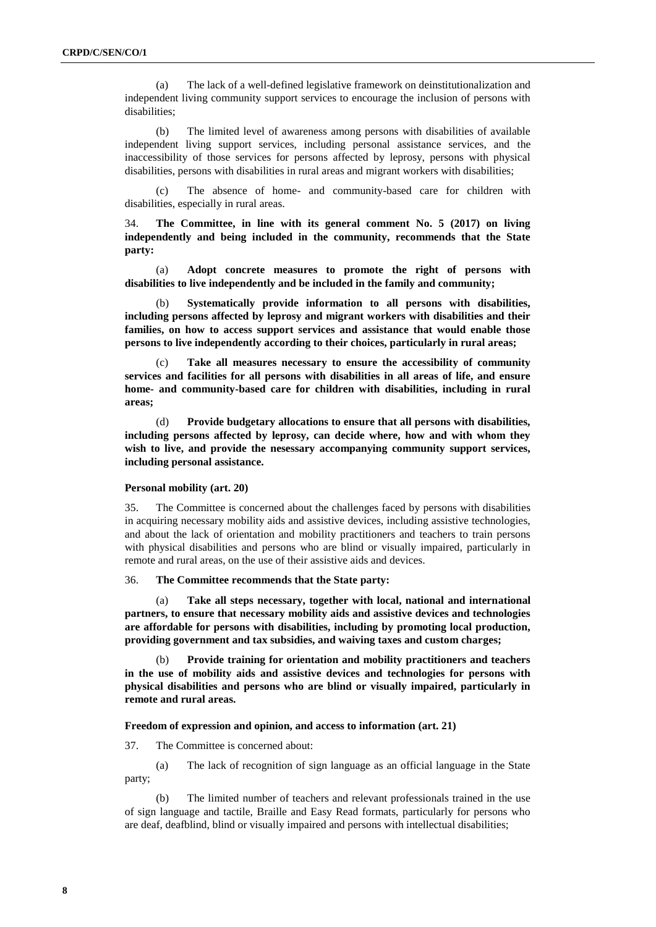(a) The lack of a well-defined legislative framework on deinstitutionalization and independent living community support services to encourage the inclusion of persons with disabilities;

(b) The limited level of awareness among persons with disabilities of available independent living support services, including personal assistance services, and the inaccessibility of those services for persons affected by leprosy, persons with physical disabilities, persons with disabilities in rural areas and migrant workers with disabilities;

(c) The absence of home- and community-based care for children with disabilities, especially in rural areas.

34. **The Committee, in line with its general comment No. 5 (2017) on living independently and being included in the community, recommends that the State party:**

(a) **Adopt concrete measures to promote the right of persons with disabilities to live independently and be included in the family and community;**

(b) **Systematically provide information to all persons with disabilities, including persons affected by leprosy and migrant workers with disabilities and their families, on how to access support services and assistance that would enable those persons to live independently according to their choices, particularly in rural areas;**

(c) **Take all measures necessary to ensure the accessibility of community services and facilities for all persons with disabilities in all areas of life, and ensure home- and community-based care for children with disabilities, including in rural areas;** 

(d) **Provide budgetary allocations to ensure that all persons with disabilities, including persons affected by leprosy, can decide where, how and with whom they wish to live, and provide the nesessary accompanying community support services, including personal assistance.**

#### **Personal mobility (art. 20)**

35. The Committee is concerned about the challenges faced by persons with disabilities in acquiring necessary mobility aids and assistive devices, including assistive technologies, and about the lack of orientation and mobility practitioners and teachers to train persons with physical disabilities and persons who are blind or visually impaired, particularly in remote and rural areas, on the use of their assistive aids and devices.

#### 36. **The Committee recommends that the State party:**

(a) **Take all steps necessary, together with local, national and international partners, to ensure that necessary mobility aids and assistive devices and technologies are affordable for persons with disabilities, including by promoting local production, providing government and tax subsidies, and waiving taxes and custom charges;** 

(b) **Provide training for orientation and mobility practitioners and teachers in the use of mobility aids and assistive devices and technologies for persons with physical disabilities and persons who are blind or visually impaired, particularly in remote and rural areas.**

## **Freedom of expression and opinion, and access to information (art. 21)**

37. The Committee is concerned about:

(a) The lack of recognition of sign language as an official language in the State party;

(b) The limited number of teachers and relevant professionals trained in the use of sign language and tactile, Braille and Easy Read formats, particularly for persons who are deaf, deafblind, blind or visually impaired and persons with intellectual disabilities;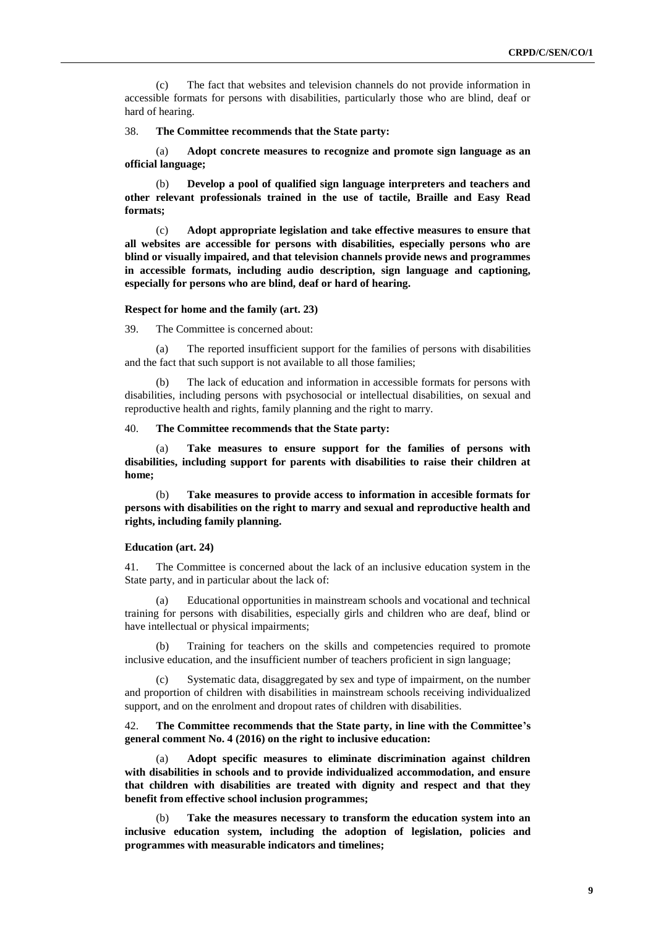(c) The fact that websites and television channels do not provide information in accessible formats for persons with disabilities, particularly those who are blind, deaf or hard of hearing.

38. **The Committee recommends that the State party:**

(a) **Adopt concrete measures to recognize and promote sign language as an official language;**

(b) **Develop a pool of qualified sign language interpreters and teachers and other relevant professionals trained in the use of tactile, Braille and Easy Read formats;**

(c) **Adopt appropriate legislation and take effective measures to ensure that all websites are accessible for persons with disabilities, especially persons who are blind or visually impaired, and that television channels provide news and programmes in accessible formats, including audio description, sign language and captioning, especially for persons who are blind, deaf or hard of hearing.**

## **Respect for home and the family (art. 23)**

39. The Committee is concerned about:

(a) The reported insufficient support for the families of persons with disabilities and the fact that such support is not available to all those families;

(b) The lack of education and information in accessible formats for persons with disabilities, including persons with psychosocial or intellectual disabilities, on sexual and reproductive health and rights, family planning and the right to marry.

## 40. **The Committee recommends that the State party:**

(a) **Take measures to ensure support for the families of persons with disabilities, including support for parents with disabilities to raise their children at home;** 

Take measures to provide access to information in accesible formats for **persons with disabilities on the right to marry and sexual and reproductive health and rights, including family planning.**

## **Education (art. 24)**

41. The Committee is concerned about the lack of an inclusive education system in the State party, and in particular about the lack of:

(a) Educational opportunities in mainstream schools and vocational and technical training for persons with disabilities, especially girls and children who are deaf, blind or have intellectual or physical impairments;

(b) Training for teachers on the skills and competencies required to promote inclusive education, and the insufficient number of teachers proficient in sign language;

(c) Systematic data, disaggregated by sex and type of impairment, on the number and proportion of children with disabilities in mainstream schools receiving individualized support, and on the enrolment and dropout rates of children with disabilities.

42. **The Committee recommends that the State party, in line with the Committee's general comment No. 4 (2016) on the right to inclusive education:** 

(a) **Adopt specific measures to eliminate discrimination against children with disabilities in schools and to provide individualized accommodation, and ensure that children with disabilities are treated with dignity and respect and that they benefit from effective school inclusion programmes;** 

(b) **Take the measures necessary to transform the education system into an inclusive education system, including the adoption of legislation, policies and programmes with measurable indicators and timelines;**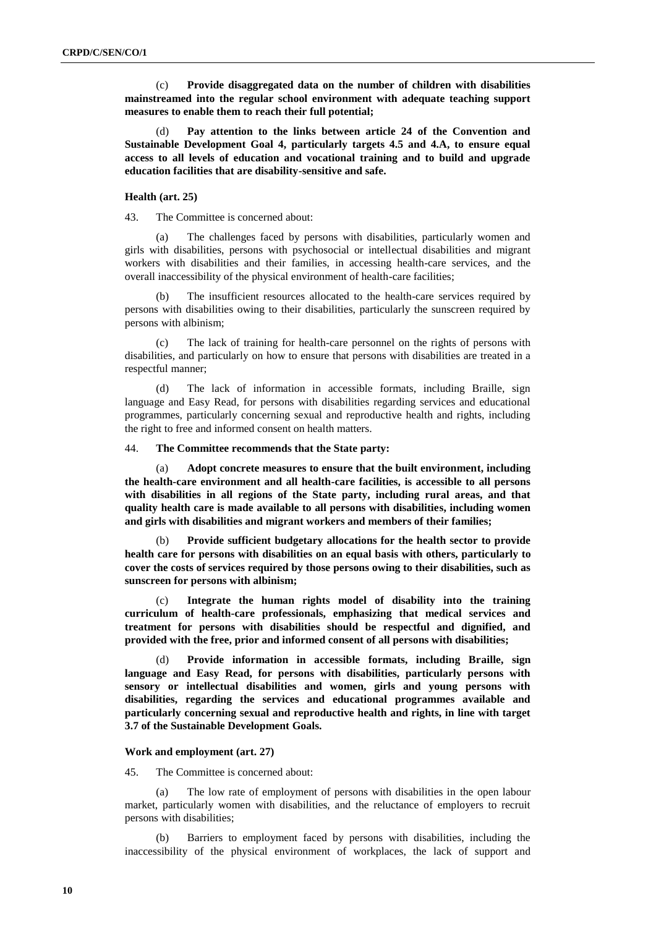(c) **Provide disaggregated data on the number of children with disabilities mainstreamed into the regular school environment with adequate teaching support measures to enable them to reach their full potential;**

(d) **Pay attention to the links between article 24 of the Convention and Sustainable Development Goal 4, particularly targets 4.5 and 4.A, to ensure equal access to all levels of education and vocational training and to build and upgrade education facilities that are disability-sensitive and safe.**

### **Health (art. 25)**

43. The Committee is concerned about:

(a) The challenges faced by persons with disabilities, particularly women and girls with disabilities, persons with psychosocial or intellectual disabilities and migrant workers with disabilities and their families, in accessing health-care services, and the overall inaccessibility of the physical environment of health-care facilities;

The insufficient resources allocated to the health-care services required by persons with disabilities owing to their disabilities, particularly the sunscreen required by persons with albinism;

The lack of training for health-care personnel on the rights of persons with disabilities, and particularly on how to ensure that persons with disabilities are treated in a respectful manner;

(d) The lack of information in accessible formats, including Braille, sign language and Easy Read, for persons with disabilities regarding services and educational programmes, particularly concerning sexual and reproductive health and rights, including the right to free and informed consent on health matters.

## 44. **The Committee recommends that the State party:**

(a) **Adopt concrete measures to ensure that the built environment, including the health-care environment and all health-care facilities, is accessible to all persons with disabilities in all regions of the State party, including rural areas, and that quality health care is made available to all persons with disabilities, including women and girls with disabilities and migrant workers and members of their families;**

(b) **Provide sufficient budgetary allocations for the health sector to provide health care for persons with disabilities on an equal basis with others, particularly to cover the costs of services required by those persons owing to their disabilities, such as sunscreen for persons with albinism;**

(c) **Integrate the human rights model of disability into the training curriculum of health-care professionals, emphasizing that medical services and treatment for persons with disabilities should be respectful and dignified, and provided with the free, prior and informed consent of all persons with disabilities;**

(d) **Provide information in accessible formats, including Braille, sign language and Easy Read, for persons with disabilities, particularly persons with sensory or intellectual disabilities and women, girls and young persons with disabilities, regarding the services and educational programmes available and particularly concerning sexual and reproductive health and rights, in line with target 3.7 of the Sustainable Development Goals.**

#### **Work and employment (art. 27)**

45. The Committee is concerned about:

(a) The low rate of employment of persons with disabilities in the open labour market, particularly women with disabilities, and the reluctance of employers to recruit persons with disabilities;

(b) Barriers to employment faced by persons with disabilities, including the inaccessibility of the physical environment of workplaces, the lack of support and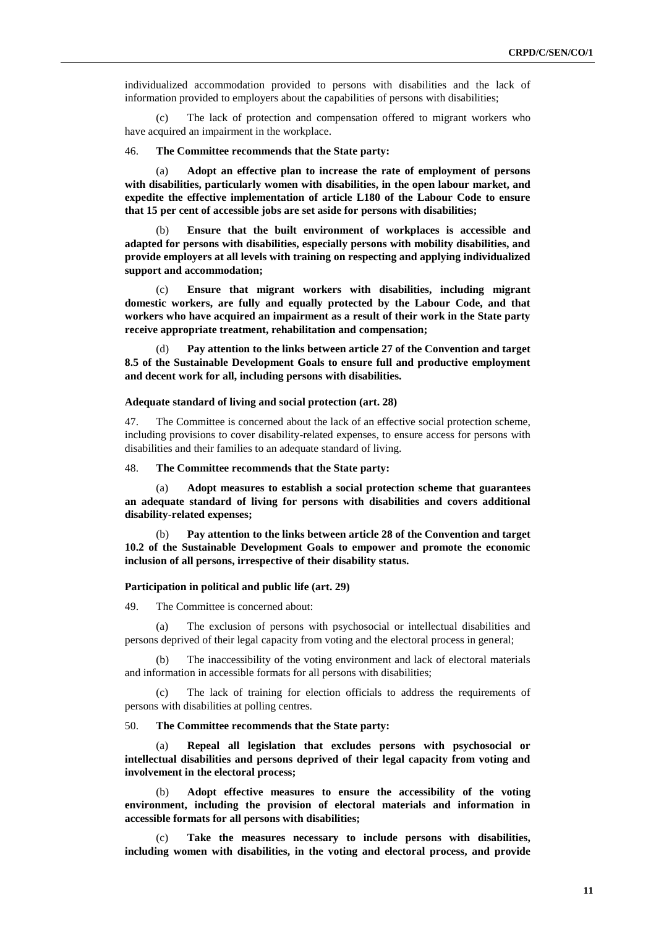individualized accommodation provided to persons with disabilities and the lack of information provided to employers about the capabilities of persons with disabilities;

(c) The lack of protection and compensation offered to migrant workers who have acquired an impairment in the workplace.

## 46. **The Committee recommends that the State party:**

(a) **Adopt an effective plan to increase the rate of employment of persons with disabilities, particularly women with disabilities, in the open labour market, and expedite the effective implementation of article L180 of the Labour Code to ensure that 15 per cent of accessible jobs are set aside for persons with disabilities;**

(b) **Ensure that the built environment of workplaces is accessible and adapted for persons with disabilities, especially persons with mobility disabilities, and provide employers at all levels with training on respecting and applying individualized support and accommodation;**

(c) **Ensure that migrant workers with disabilities, including migrant domestic workers, are fully and equally protected by the Labour Code, and that workers who have acquired an impairment as a result of their work in the State party receive appropriate treatment, rehabilitation and compensation;**

(d) **Pay attention to the links between article 27 of the Convention and target 8.5 of the Sustainable Development Goals to ensure full and productive employment and decent work for all, including persons with disabilities.**

## **Adequate standard of living and social protection (art. 28)**

47. The Committee is concerned about the lack of an effective social protection scheme, including provisions to cover disability-related expenses, to ensure access for persons with disabilities and their families to an adequate standard of living.

48. **The Committee recommends that the State party:** 

(a) **Adopt measures to establish a social protection scheme that guarantees an adequate standard of living for persons with disabilities and covers additional disability-related expenses;**

(b) **Pay attention to the links between article 28 of the Convention and target 10.2 of the Sustainable Development Goals to empower and promote the economic inclusion of all persons, irrespective of their disability status.**

#### **Participation in political and public life (art. 29)**

49. The Committee is concerned about:

(a) The exclusion of persons with psychosocial or intellectual disabilities and persons deprived of their legal capacity from voting and the electoral process in general;

(b) The inaccessibility of the voting environment and lack of electoral materials and information in accessible formats for all persons with disabilities;

(c) The lack of training for election officials to address the requirements of persons with disabilities at polling centres.

50. **The Committee recommends that the State party:**

(a) **Repeal all legislation that excludes persons with psychosocial or intellectual disabilities and persons deprived of their legal capacity from voting and involvement in the electoral process;**

(b) **Adopt effective measures to ensure the accessibility of the voting environment, including the provision of electoral materials and information in accessible formats for all persons with disabilities;**

(c) **Take the measures necessary to include persons with disabilities, including women with disabilities, in the voting and electoral process, and provide**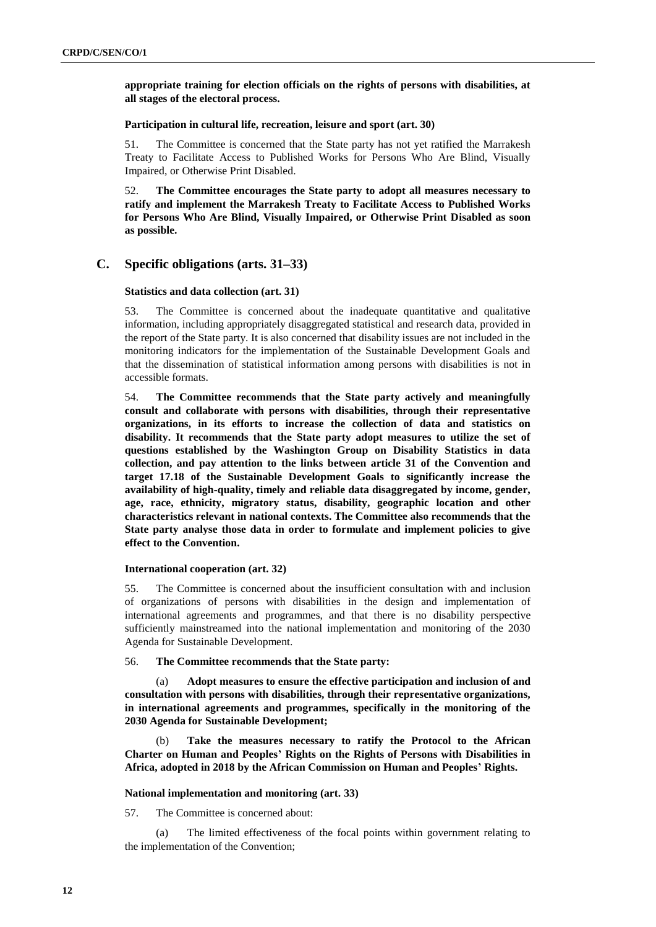**appropriate training for election officials on the rights of persons with disabilities, at all stages of the electoral process.**

## **Participation in cultural life, recreation, leisure and sport (art. 30)**

51. The Committee is concerned that the State party has not yet ratified the Marrakesh Treaty to Facilitate Access to Published Works for Persons Who Are Blind, Visually Impaired, or Otherwise Print Disabled.

52. **The Committee encourages the State party to adopt all measures necessary to ratify and implement the Marrakesh Treaty to Facilitate Access to Published Works for Persons Who Are Blind, Visually Impaired, or Otherwise Print Disabled as soon as possible.**

## **C. Specific obligations (arts. 31–33)**

## **Statistics and data collection (art. 31)**

53. The Committee is concerned about the inadequate quantitative and qualitative information, including appropriately disaggregated statistical and research data, provided in the report of the State party. It is also concerned that disability issues are not included in the monitoring indicators for the implementation of the Sustainable Development Goals and that the dissemination of statistical information among persons with disabilities is not in accessible formats.

54. **The Committee recommends that the State party actively and meaningfully consult and collaborate with persons with disabilities, through their representative organizations, in its efforts to increase the collection of data and statistics on disability. It recommends that the State party adopt measures to utilize the set of questions established by the Washington Group on Disability Statistics in data collection, and pay attention to the links between article 31 of the Convention and target 17.18 of the Sustainable Development Goals to significantly increase the availability of high-quality, timely and reliable data disaggregated by income, gender, age, race, ethnicity, migratory status, disability, geographic location and other characteristics relevant in national contexts. The Committee also recommends that the State party analyse those data in order to formulate and implement policies to give effect to the Convention.** 

### **International cooperation (art. 32)**

55. The Committee is concerned about the insufficient consultation with and inclusion of organizations of persons with disabilities in the design and implementation of international agreements and programmes, and that there is no disability perspective sufficiently mainstreamed into the national implementation and monitoring of the 2030 Agenda for Sustainable Development.

## 56. **The Committee recommends that the State party:**

(a) **Adopt measures to ensure the effective participation and inclusion of and consultation with persons with disabilities, through their representative organizations, in international agreements and programmes, specifically in the monitoring of the 2030 Agenda for Sustainable Development;**

(b) **Take the measures necessary to ratify the Protocol to the African Charter on Human and Peoples' Rights on the Rights of Persons with Disabilities in Africa, adopted in 2018 by the African Commission on Human and Peoples' Rights.**

#### **National implementation and monitoring (art. 33)**

57. The Committee is concerned about:

The limited effectiveness of the focal points within government relating to the implementation of the Convention;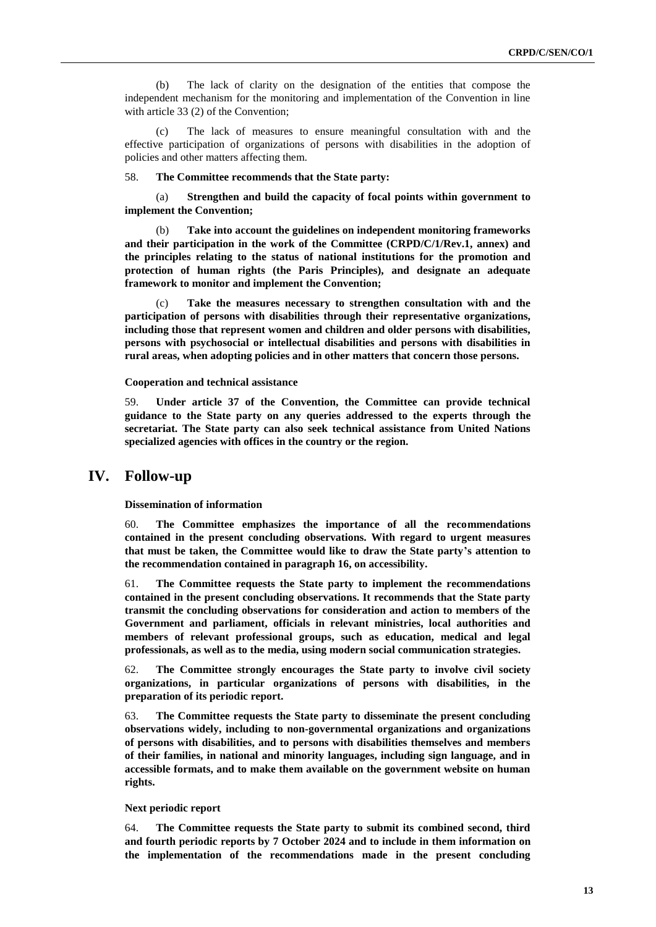(b) The lack of clarity on the designation of the entities that compose the independent mechanism for the monitoring and implementation of the Convention in line with article 33 (2) of the Convention;

(c) The lack of measures to ensure meaningful consultation with and the effective participation of organizations of persons with disabilities in the adoption of policies and other matters affecting them.

58. **The Committee recommends that the State party:**

(a) **Strengthen and build the capacity of focal points within government to implement the Convention;**

(b) **Take into account the guidelines on independent monitoring frameworks and their participation in the work of the Committee (CRPD/C/1/Rev.1, annex) and the principles relating to the status of national institutions for the promotion and protection of human rights (the Paris Principles), and designate an adequate framework to monitor and implement the Convention;**

(c) **Take the measures necessary to strengthen consultation with and the participation of persons with disabilities through their representative organizations, including those that represent women and children and older persons with disabilities, persons with psychosocial or intellectual disabilities and persons with disabilities in rural areas, when adopting policies and in other matters that concern those persons.**

**Cooperation and technical assistance**

59. **Under article 37 of the Convention, the Committee can provide technical guidance to the State party on any queries addressed to the experts through the secretariat. The State party can also seek technical assistance from United Nations specialized agencies with offices in the country or the region.**

## **IV. Follow-up**

**Dissemination of information**

60. **The Committee emphasizes the importance of all the recommendations contained in the present concluding observations. With regard to urgent measures that must be taken, the Committee would like to draw the State party's attention to the recommendation contained in paragraph 16, on accessibility.**

61. **The Committee requests the State party to implement the recommendations contained in the present concluding observations. It recommends that the State party transmit the concluding observations for consideration and action to members of the Government and parliament, officials in relevant ministries, local authorities and members of relevant professional groups, such as education, medical and legal professionals, as well as to the media, using modern social communication strategies.**

62. **The Committee strongly encourages the State party to involve civil society organizations, in particular organizations of persons with disabilities, in the preparation of its periodic report.**

63. **The Committee requests the State party to disseminate the present concluding observations widely, including to non-governmental organizations and organizations of persons with disabilities, and to persons with disabilities themselves and members of their families, in national and minority languages, including sign language, and in accessible formats, and to make them available on the government website on human rights.**

#### **Next periodic report**

64. **The Committee requests the State party to submit its combined second, third and fourth periodic reports by 7 October 2024 and to include in them information on the implementation of the recommendations made in the present concluding**